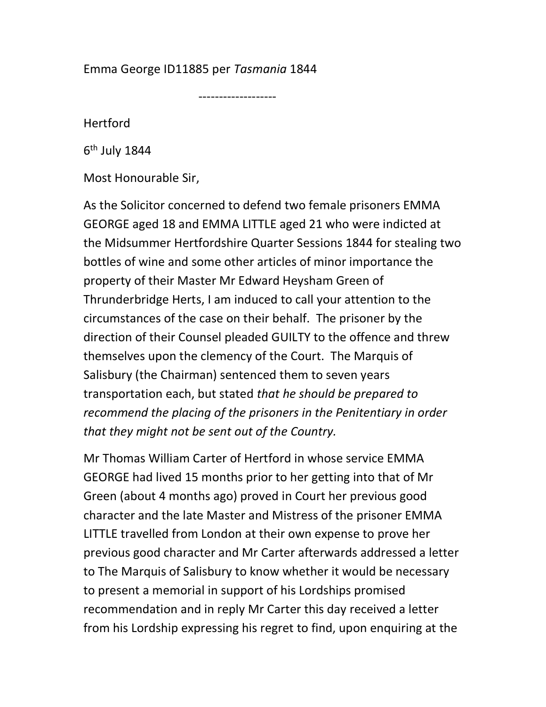## Emma George ID11885 per Tasmania 1844

-------------------

Hertford

6<sup>th</sup> July 1844

Most Honourable Sir,

As the Solicitor concerned to defend two female prisoners EMMA GEORGE aged 18 and EMMA LITTLE aged 21 who were indicted at the Midsummer Hertfordshire Quarter Sessions 1844 for stealing two bottles of wine and some other articles of minor importance the property of their Master Mr Edward Heysham Green of Thrunderbridge Herts, I am induced to call your attention to the circumstances of the case on their behalf. The prisoner by the direction of their Counsel pleaded GUILTY to the offence and threw themselves upon the clemency of the Court. The Marquis of Salisbury (the Chairman) sentenced them to seven years transportation each, but stated that he should be prepared to recommend the placing of the prisoners in the Penitentiary in order that they might not be sent out of the Country.

Mr Thomas William Carter of Hertford in whose service EMMA GEORGE had lived 15 months prior to her getting into that of Mr Green (about 4 months ago) proved in Court her previous good character and the late Master and Mistress of the prisoner EMMA LITTLE travelled from London at their own expense to prove her previous good character and Mr Carter afterwards addressed a letter to The Marquis of Salisbury to know whether it would be necessary to present a memorial in support of his Lordships promised recommendation and in reply Mr Carter this day received a letter from his Lordship expressing his regret to find, upon enquiring at the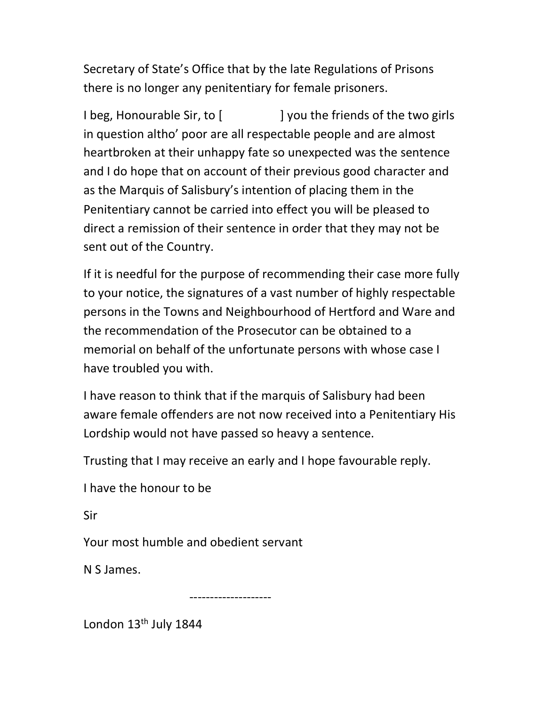Secretary of State's Office that by the late Regulations of Prisons there is no longer any penitentiary for female prisoners.

I beg, Honourable Sir, to [ ] you the friends of the two girls in question altho' poor are all respectable people and are almost heartbroken at their unhappy fate so unexpected was the sentence and I do hope that on account of their previous good character and as the Marquis of Salisbury's intention of placing them in the Penitentiary cannot be carried into effect you will be pleased to direct a remission of their sentence in order that they may not be sent out of the Country.

If it is needful for the purpose of recommending their case more fully to your notice, the signatures of a vast number of highly respectable persons in the Towns and Neighbourhood of Hertford and Ware and the recommendation of the Prosecutor can be obtained to a memorial on behalf of the unfortunate persons with whose case I have troubled you with.

I have reason to think that if the marquis of Salisbury had been aware female offenders are not now received into a Penitentiary His Lordship would not have passed so heavy a sentence.

Trusting that I may receive an early and I hope favourable reply.

I have the honour to be

Sir

Your most humble and obedient servant

N S James.

--------------------

London 13<sup>th</sup> July 1844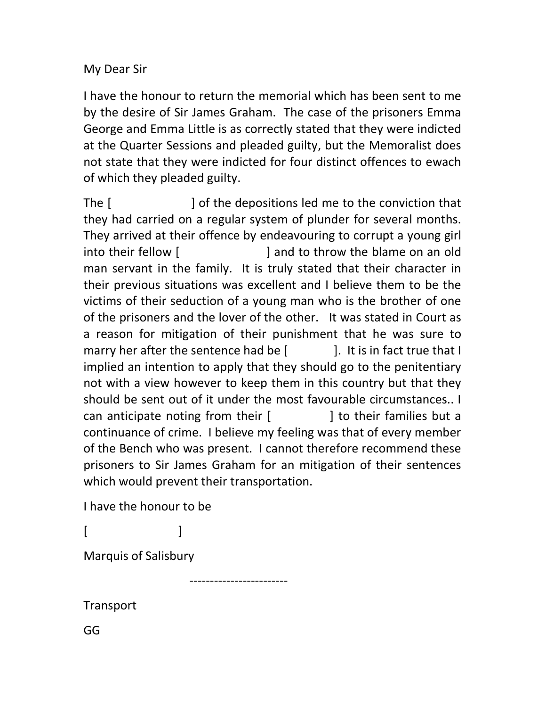## My Dear Sir

I have the honour to return the memorial which has been sent to me by the desire of Sir James Graham. The case of the prisoners Emma George and Emma Little is as correctly stated that they were indicted at the Quarter Sessions and pleaded guilty, but the Memoralist does not state that they were indicted for four distinct offences to ewach of which they pleaded guilty.

The [ ] of the depositions led me to the conviction that they had carried on a regular system of plunder for several months. They arrived at their offence by endeavouring to corrupt a young girl into their fellow [  $\qquad$  ] and to throw the blame on an old man servant in the family. It is truly stated that their character in their previous situations was excellent and I believe them to be the victims of their seduction of a young man who is the brother of one of the prisoners and the lover of the other. It was stated in Court as a reason for mitigation of their punishment that he was sure to marry her after the sentence had be  $[$   $]$ . It is in fact true that I implied an intention to apply that they should go to the penitentiary not with a view however to keep them in this country but that they should be sent out of it under the most favourable circumstances.. I can anticipate noting from their [ ] to their families but a continuance of crime. I believe my feeling was that of every member of the Bench who was present. I cannot therefore recommend these prisoners to Sir James Graham for an mitigation of their sentences which would prevent their transportation.

------------------------

I have the honour to be

 $[$   $]$ 

Marquis of Salisbury

Transport

GG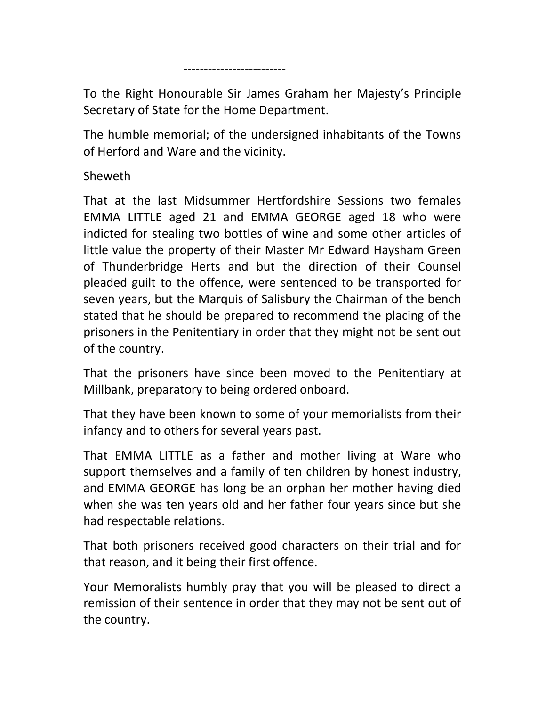-------------------------

To the Right Honourable Sir James Graham her Majesty's Principle Secretary of State for the Home Department.

The humble memorial; of the undersigned inhabitants of the Towns of Herford and Ware and the vicinity.

Sheweth

That at the last Midsummer Hertfordshire Sessions two females EMMA LITTLE aged 21 and EMMA GEORGE aged 18 who were indicted for stealing two bottles of wine and some other articles of little value the property of their Master Mr Edward Haysham Green of Thunderbridge Herts and but the direction of their Counsel pleaded guilt to the offence, were sentenced to be transported for seven years, but the Marquis of Salisbury the Chairman of the bench stated that he should be prepared to recommend the placing of the prisoners in the Penitentiary in order that they might not be sent out of the country.

That the prisoners have since been moved to the Penitentiary at Millbank, preparatory to being ordered onboard.

That they have been known to some of your memorialists from their infancy and to others for several years past.

That EMMA LITTLE as a father and mother living at Ware who support themselves and a family of ten children by honest industry, and EMMA GEORGE has long be an orphan her mother having died when she was ten years old and her father four years since but she had respectable relations.

That both prisoners received good characters on their trial and for that reason, and it being their first offence.

Your Memoralists humbly pray that you will be pleased to direct a remission of their sentence in order that they may not be sent out of the country.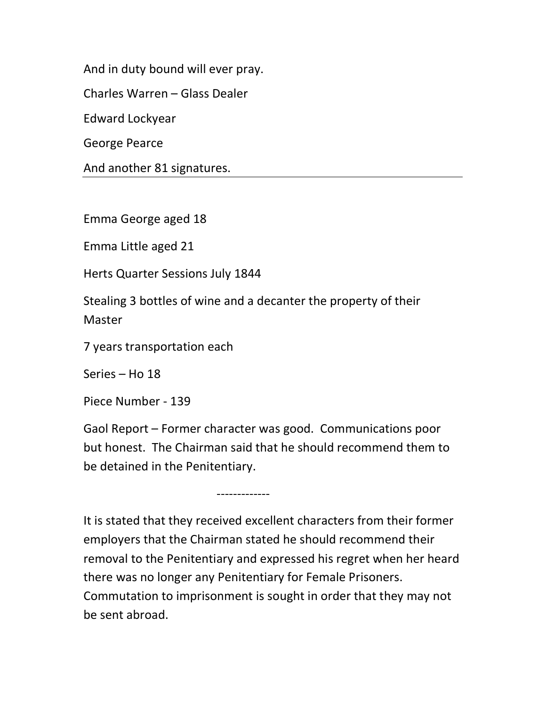And in duty bound will ever pray.

Charles Warren – Glass Dealer

Edward Lockyear

George Pearce

And another 81 signatures.

Emma George aged 18

Emma Little aged 21

Herts Quarter Sessions July 1844

Stealing 3 bottles of wine and a decanter the property of their Master

7 years transportation each

Series – Ho 18

Piece Number - 139

Gaol Report – Former character was good. Communications poor but honest. The Chairman said that he should recommend them to be detained in the Penitentiary.

-------------

It is stated that they received excellent characters from their former employers that the Chairman stated he should recommend their removal to the Penitentiary and expressed his regret when her heard there was no longer any Penitentiary for Female Prisoners. Commutation to imprisonment is sought in order that they may not be sent abroad.